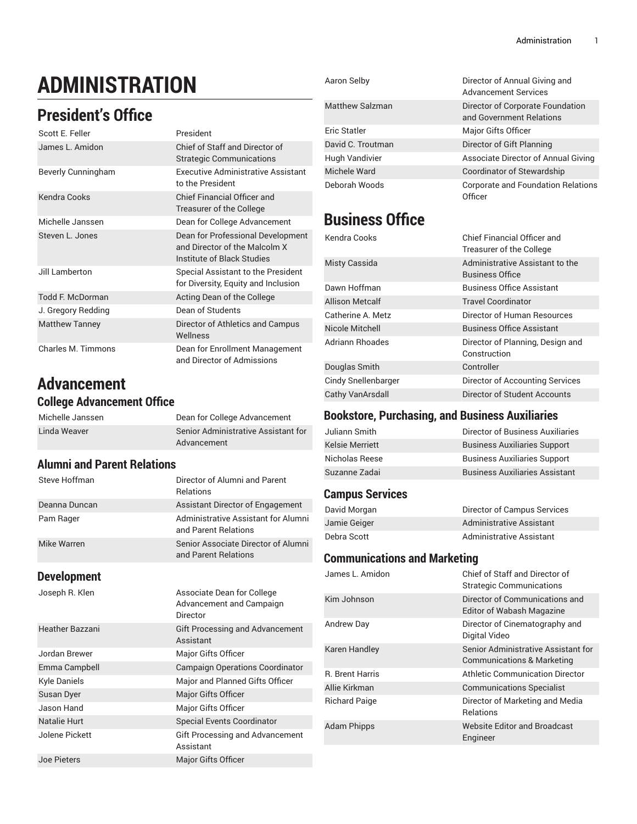# **ADMINISTRATION**

# **President's Office**

| Scott E. Feller         | President                                                                                        |
|-------------------------|--------------------------------------------------------------------------------------------------|
| James L. Amidon         | Chief of Staff and Director of<br><b>Strategic Communications</b>                                |
| Beverly Cunningham      | Executive Administrative Assistant<br>to the President                                           |
| Kendra Cooks            | Chief Financial Officer and<br>Treasurer of the College                                          |
| Michelle Janssen        | Dean for College Advancement                                                                     |
| Steven L. Jones         | Dean for Professional Development<br>and Director of the Malcolm X<br>Institute of Black Studies |
| Jill Lamberton          | Special Assistant to the President<br>for Diversity, Equity and Inclusion                        |
| <b>Todd F. McDorman</b> | Acting Dean of the College                                                                       |
| J. Gregory Redding      | Dean of Students                                                                                 |
| <b>Matthew Tanney</b>   | Director of Athletics and Campus<br>Wellness                                                     |
| Charles M. Timmons      | Dean for Enrollment Management<br>and Director of Admissions                                     |

# **Advancement**

#### **College Advancement Office**

| Michelle Janssen | Dean for College Advancement        |
|------------------|-------------------------------------|
| Linda Weaver     | Senior Administrative Assistant for |
|                  | Advancement                         |

#### **Alumni and Parent Relations**

| Steve Hoffman | Director of Alumni and Parent<br><b>Relations</b>           |
|---------------|-------------------------------------------------------------|
| Deanna Duncan | Assistant Director of Engagement                            |
| Pam Rager     | Administrative Assistant for Alumni<br>and Parent Relations |
| Mike Warren   | Senior Associate Director of Alumni<br>and Parent Relations |

#### **Development**

Joseph R. Klen Associate Dean for College

|                    | Advancement and Campaign<br>Director                |
|--------------------|-----------------------------------------------------|
| Heather Bazzani    | <b>Gift Processing and Advancement</b><br>Assistant |
| Jordan Brewer      | Major Gifts Officer                                 |
| Emma Campbell      | <b>Campaign Operations Coordinator</b>              |
| Kyle Daniels       | Major and Planned Gifts Officer                     |
| Susan Dyer         | Major Gifts Officer                                 |
| Jason Hand         | <b>Major Gifts Officer</b>                          |
| Natalie Hurt       | <b>Special Events Coordinator</b>                   |
| Jolene Pickett     | Gift Processing and Advancement<br>Assistant        |
| <b>Joe Pieters</b> | Major Gifts Officer                                 |

| Aaron Selby            | Director of Annual Giving and<br><b>Advancement Services</b> |
|------------------------|--------------------------------------------------------------|
| <b>Matthew Salzman</b> | Director of Corporate Foundation<br>and Government Relations |
| Eric Statler           | Major Gifts Officer                                          |
| David C. Troutman      | Director of Gift Planning                                    |
| Hugh Vandivier         | Associate Director of Annual Giving                          |
| Michele Ward           | Coordinator of Stewardship                                   |
| Deborah Woods          | Corporate and Foundation Relations<br>Officer                |

# **Business Office**

| Kendra Cooks           | Chief Financial Officer and<br>Treasurer of the College   |
|------------------------|-----------------------------------------------------------|
| Misty Cassida          | Administrative Assistant to the<br><b>Business Office</b> |
| Dawn Hoffman           | <b>Business Office Assistant</b>                          |
| <b>Allison Metcalf</b> | <b>Travel Coordinator</b>                                 |
| Catherine A. Metz      | Director of Human Resources                               |
| Nicole Mitchell        | <b>Business Office Assistant</b>                          |
| <b>Adriann Rhoades</b> | Director of Planning, Design and<br>Construction          |
| Douglas Smith          | Controller                                                |
| Cindy Snellenbarger    | Director of Accounting Services                           |
| Cathy VanArsdall       | Director of Student Accounts                              |

#### **Bookstore, Purchasing, and Business Auxiliaries**

| Juliann Smith          | Director of Business Auxiliaries      |
|------------------------|---------------------------------------|
| <b>Kelsie Merriett</b> | <b>Business Auxiliaries Support</b>   |
| Nicholas Reese         | <b>Business Auxiliaries Support</b>   |
| Suzanne Zadai          | <b>Business Auxiliaries Assistant</b> |

#### **Campus Services**

| David Morgan | Director of Campus Services |
|--------------|-----------------------------|
| Jamie Geiger | Administrative Assistant    |
| Debra Scott  | Administrative Assistant    |

#### **Communications and Marketing**

| Chief of Staff and Director of<br><b>Strategic Communications</b> |
|-------------------------------------------------------------------|
| Director of Communications and<br>Editor of Wabash Magazine       |
| Director of Cinematography and<br>Digital Video                   |
| Senior Administrative Assistant for<br>Communications & Marketing |
| <b>Athletic Communication Director</b>                            |
| <b>Communications Specialist</b>                                  |
| Director of Marketing and Media<br><b>Relations</b>               |
| <b>Website Editor and Broadcast</b><br>Engineer                   |
|                                                                   |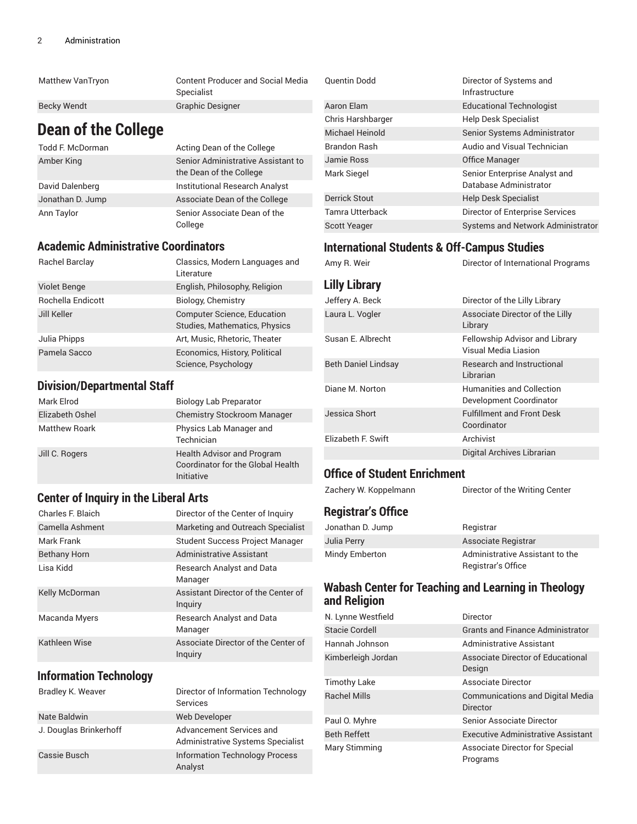| Matthew VanTryon | <b>Content Producer and Social Media</b> |
|------------------|------------------------------------------|
|                  | Specialist                               |
| Becky Wendt      | <b>Graphic Designer</b>                  |

### **Dean of the College**

| <b>Todd F. McDorman</b> | Acting Dean of the College                                    |
|-------------------------|---------------------------------------------------------------|
| Amber King              | Senior Administrative Assistant to<br>the Dean of the College |
| David Dalenberg         | <b>Institutional Research Analyst</b>                         |
| Jonathan D. Jump        | Associate Dean of the College                                 |
| Ann Taylor              | Senior Associate Dean of the<br>College                       |

#### **Academic Administrative Coordinators**

| Rachel Barclay      | Classics, Modern Languages and<br>Literature                        |
|---------------------|---------------------------------------------------------------------|
| <b>Violet Benge</b> | English, Philosophy, Religion                                       |
| Rochella Endicott   | Biology, Chemistry                                                  |
| Jill Keller         | <b>Computer Science, Education</b><br>Studies, Mathematics, Physics |
| Julia Phipps        | Art, Music, Rhetoric, Theater                                       |
| Pamela Sacco        | Economics, History, Political<br>Science, Psychology                |

#### **Division/Departmental Staff**

| Mark Elrod           | <b>Biology Lab Preparator</b>                                                               |
|----------------------|---------------------------------------------------------------------------------------------|
| Elizabeth Oshel      | <b>Chemistry Stockroom Manager</b>                                                          |
| <b>Matthew Roark</b> | Physics Lab Manager and<br>Technician                                                       |
| Jill C. Rogers       | <b>Health Advisor and Program</b><br><b>Coordinator for the Global Health</b><br>Initiative |

#### **Center of Inquiry in the Liberal Arts**

| Charles F. Blaich     | Director of the Center of Inquiry              |
|-----------------------|------------------------------------------------|
| Camella Ashment       | Marketing and Outreach Specialist              |
| Mark Frank            | <b>Student Success Project Manager</b>         |
| <b>Bethany Horn</b>   | Administrative Assistant                       |
| Lisa Kidd             | <b>Research Analyst and Data</b><br>Manager    |
| <b>Kelly McDorman</b> | Assistant Director of the Center of<br>Inquiry |
| Macanda Myers         | Research Analyst and Data<br>Manager           |
| Kathleen Wise         | Associate Director of the Center of<br>Inguiry |

#### **Information Technology**

| Bradley K. Weaver      | Director of Information Technology<br><b>Services</b>         |
|------------------------|---------------------------------------------------------------|
| Nate Baldwin           | Web Developer                                                 |
| J. Douglas Brinkerhoff | Advancement Services and<br>Administrative Systems Specialist |
| Cassie Busch           | <b>Information Technology Process</b><br>Analyst              |

| <b>Quentin Dodd</b>  | Director of Systems and<br>Infrastructure               |
|----------------------|---------------------------------------------------------|
| Aaron Elam           | <b>Educational Technologist</b>                         |
| Chris Harshbarger    | <b>Help Desk Specialist</b>                             |
| Michael Heinold      | Senior Systems Administrator                            |
| <b>Brandon Rash</b>  | Audio and Visual Technician                             |
| Jamie Ross           | Office Manager                                          |
| Mark Siegel          | Senior Enterprise Analyst and<br>Database Administrator |
| <b>Derrick Stout</b> | <b>Help Desk Specialist</b>                             |
| Tamra Utterback      | Director of Enterprise Services                         |
| <b>Scott Yeager</b>  | Systems and Network Administrator                       |

#### **International Students & Off-Campus Studies**

### Amy R. Weir **Director of International Programs**

| Lilly Library              |                                                        |
|----------------------------|--------------------------------------------------------|
| Jeffery A. Beck            | Director of the Lilly Library                          |
| Laura L. Vogler            | Associate Director of the Lilly<br>Library             |
| Susan E. Albrecht          | Fellowship Advisor and Library<br>Visual Media Liasion |
| <b>Beth Daniel Lindsay</b> | <b>Research and Instructional</b><br>Librarian         |
| Diane M. Norton            | Humanities and Collection<br>Development Coordinator   |
| Jessica Short              | <b>Fulfillment and Front Desk</b><br>Coordinator       |
| Elizabeth F. Swift         | Archivist                                              |
|                            | Digital Archives Librarian                             |

#### **Office of Student Enrichment**

Zachery W. Koppelmann Director of the Writing Center

#### **Registrar's Office**

| Jonathan D. Jump | Registrar                       |
|------------------|---------------------------------|
| Julia Perry      | Associate Registrar             |
| Mindy Emberton   | Administrative Assistant to the |
|                  | Registrar's Office              |

#### **Wabash Center for Teaching and Learning in Theology and Religion**

| N. Lynne Westfield  | Director                                                   |
|---------------------|------------------------------------------------------------|
| Stacie Cordell      | <b>Grants and Finance Administrator</b>                    |
| Hannah Johnson      | Administrative Assistant                                   |
| Kimberleigh Jordan  | Associate Director of Educational<br>Design                |
| <b>Timothy Lake</b> | <b>Associate Director</b>                                  |
| <b>Rachel Mills</b> | <b>Communications and Digital Media</b><br><b>Director</b> |
| Paul O. Myhre       | Senior Associate Director                                  |
| <b>Beth Reffett</b> | <b>Executive Administrative Assistant</b>                  |
| Mary Stimming       | Associate Director for Special<br>Programs                 |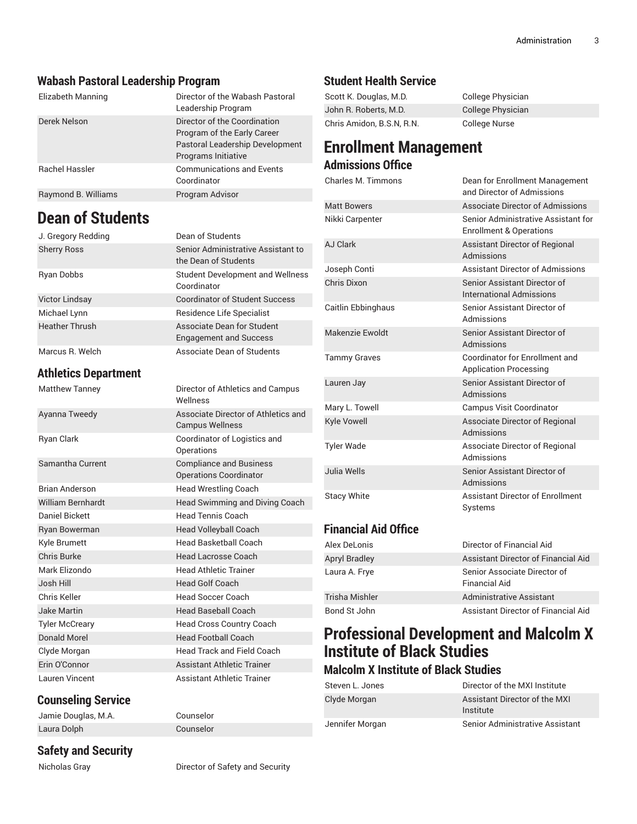#### **Wabash Pastoral Leadership Program**

| Elizabeth Manning   | Director of the Wabash Pastoral<br>Leadership Program                                                                        |
|---------------------|------------------------------------------------------------------------------------------------------------------------------|
| Derek Nelson        | Director of the Coordination<br>Program of the Early Career<br><b>Pastoral Leadership Development</b><br>Programs Initiative |
| Rachel Hassler      | <b>Communications and Events</b><br>Coordinator                                                                              |
| Raymond B. Williams | Program Advisor                                                                                                              |

### **Dean of Students**

| Athletics Denartment  |                                                             |
|-----------------------|-------------------------------------------------------------|
| Marcus R. Welch       | Associate Dean of Students                                  |
| <b>Heather Thrush</b> | Associate Dean for Student<br><b>Engagement and Success</b> |
| Michael Lynn          | Residence Life Specialist                                   |
| <b>Victor Lindsay</b> | <b>Coordinator of Student Success</b>                       |
| Ryan Dobbs            | <b>Student Development and Wellness</b><br>Coordinator      |
| <b>Sherry Ross</b>    | Senior Administrative Assistant to<br>the Dean of Students  |
| J. Gregory Redding    | Dean of Students                                            |

#### **Athletics Department**

| <b>Matthew Tanney</b>    | Director of Athletics and Campus<br>Wellness                    |
|--------------------------|-----------------------------------------------------------------|
| Ayanna Tweedy            | Associate Director of Athletics and<br><b>Campus Wellness</b>   |
| Ryan Clark               | Coordinator of Logistics and<br>Operations                      |
| Samantha Current         | <b>Compliance and Business</b><br><b>Operations Coordinator</b> |
| <b>Brian Anderson</b>    | <b>Head Wrestling Coach</b>                                     |
| <b>William Bernhardt</b> | Head Swimming and Diving Coach                                  |
| Daniel Bickett           | <b>Head Tennis Coach</b>                                        |
| Ryan Bowerman            | <b>Head Volleyball Coach</b>                                    |
| Kyle Brumett             | Head Basketball Coach                                           |
| Chris Burke              | <b>Head Lacrosse Coach</b>                                      |
| Mark Elizondo            | <b>Head Athletic Trainer</b>                                    |
| Josh Hill                | <b>Head Golf Coach</b>                                          |
| Chris Keller             | <b>Head Soccer Coach</b>                                        |
| <b>Jake Martin</b>       | <b>Head Baseball Coach</b>                                      |
| <b>Tyler McCreary</b>    | Head Cross Country Coach                                        |
| <b>Donald Morel</b>      | <b>Head Football Coach</b>                                      |
| Clyde Morgan             | <b>Head Track and Field Coach</b>                               |
| Erin O'Connor            | Assistant Athletic Trainer                                      |
| Lauren Vincent           | <b>Assistant Athletic Trainer</b>                               |

# **Counseling Service**

Jamie Douglas, M.A. Counselor Laura Dolph Counselor

### **Safety and Security**

Nicholas Gray **Director of Safety and Security** 

#### **Student Health Service**

| Scott K. Douglas, M.D.    | College Physician |
|---------------------------|-------------------|
| John R. Roberts, M.D.     | College Physician |
| Chris Amidon, B.S.N, R.N. | College Nurse     |

### **Enrollment Management Admissions Office**

| Charles M. Timmons        | Dean for Enrollment Management<br>and Director of Admissions              |
|---------------------------|---------------------------------------------------------------------------|
| <b>Matt Bowers</b>        | <b>Associate Director of Admissions</b>                                   |
| Nikki Carpenter           | Senior Administrative Assistant for<br><b>Enrollment &amp; Operations</b> |
| AJ Clark                  | Assistant Director of Regional<br>Admissions                              |
| Joseph Conti              | Assistant Director of Admissions                                          |
| Chris Dixon               | Senior Assistant Director of<br><b>International Admissions</b>           |
| <b>Caitlin Ebbinghaus</b> | Senior Assistant Director of<br>Admissions                                |
| Makenzie Ewoldt           | Senior Assistant Director of<br>Admissions                                |
| <b>Tammy Graves</b>       | Coordinator for Enrollment and<br><b>Application Processing</b>           |
| Lauren Jay                | Senior Assistant Director of<br>Admissions                                |
| Mary L. Towell            | <b>Campus Visit Coordinator</b>                                           |
| <b>Kyle Vowell</b>        | Associate Director of Regional<br>Admissions                              |
| <b>Tyler Wade</b>         | Associate Director of Regional<br>Admissions                              |
| Julia Wells               | Senior Assistant Director of<br>Admissions                                |
| <b>Stacy White</b>        | <b>Assistant Director of Enrollment</b><br><b>Systems</b>                 |

#### **Financial Aid Office**

| Alex DeLonis         | Director of Financial Aid                     |
|----------------------|-----------------------------------------------|
| <b>Apryl Bradley</b> | Assistant Director of Financial Aid           |
| Laura A. Frye        | Senior Associate Director of<br>Financial Aid |
| Trisha Mishler       | Administrative Assistant                      |
| Bond St John         | Assistant Director of Financial Aid           |

## **Professional Development and Malcolm X Institute of Black Studies**

### **Malcolm X Institute of Black Studies**

| Steven L. Jones | Director of the MXI Institute              |
|-----------------|--------------------------------------------|
| Clyde Morgan    | Assistant Director of the MXI<br>Institute |
| Jennifer Morgan | Senior Administrative Assistant            |